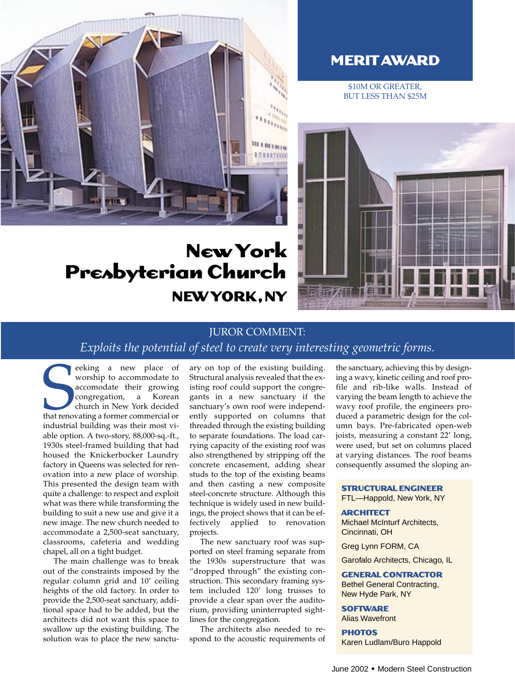

# **New York Presbyterian Church NEW YORK,NY**

# **MERIT AWARD**

\$10M OR GREATER, BUT LESS THAN \$25M



## JUROR COMMENT:

*Exploits the potential of steel to create very interesting geometric forms.* 

Example 2 a new place of<br>
accomodate their growing<br>
congregation, a Korean<br>
church in New York decided<br>
that renovating a former commercial or<br>
industrial building was their most vieeking a new place of worship to accommodate to accomodate their growing congregation, a Korean church in New York decided industrial building was their most viable option. A two-story, 88,000-sq.-ft., 1930s steel-framed building that had housed the Knickerbocker Laundry factory in Queens was selected for renovation into a new place of worship. This presented the design team with quite a challenge: to respect and exploit what was there while transforming the building to suit a new use and give it a new image. The new church needed to accommodate a 2,500-seat sanctuary, classrooms, cafeteria and wedding chapel, all on a tight budget.

The main challenge was to break out of the constraints imposed by the regular column grid and 10' ceiling heights of the old factory. In order to provide the 2,500-seat sanctuary, additional space had to be added, but the architects did not want this space to swallow up the existing building. The solution was to place the new sanctuary on top of the existing building. Structural analysis revealed that the existing roof could support the congregants in a new sanctuary if the sanctuary's own roof were independently supported on columns that threaded through the existing building to separate foundations. The load carrying capacity of the existing roof was also strengthened by stripping off the concrete encasement, adding shear studs to the top of the existing beams and then casting a new composite steel-concrete structure. Although this technique is widely used in new buildings, the project shows that it can be effectively applied to renovation projects.

The new sanctuary roof was supported on steel framing separate from the 1930s superstructure that was "dropped through" the existing construction. This secondary framing system included 120' long trusses to provide a clear span over the auditorium, providing uninterrupted sightlines for the congregation.

The architects also needed to respond to the acoustic requirements of the sanctuary, achieving this by designing a wavy, kinetic ceiling and roof profile and rib-like walls. Instead of varying the beam length to achieve the wavy roof profile, the engineers produced a parametric design for the column bays. Pre-fabricated open-web joists, measuring a constant 22' long, were used, but set on columns placed at varying distances. The roof beams consequently assumed the sloping an-

#### **STRUCTURAL ENGINEER**

FTL—Happold, New York, NY

### **ARCHITECT** Michael McInturf Architects,

Cincinnati, OH

Greg Lynn FORM, CA

Garofalo Architects, Chicago, IL

#### **GENERAL CONTRACTOR** Bethel General Contracting,

New Hyde Park, NY

### **SOFTWARE**

Alias Wavefront

#### **PHOTOS**

Karen Ludlam/Buro Happold